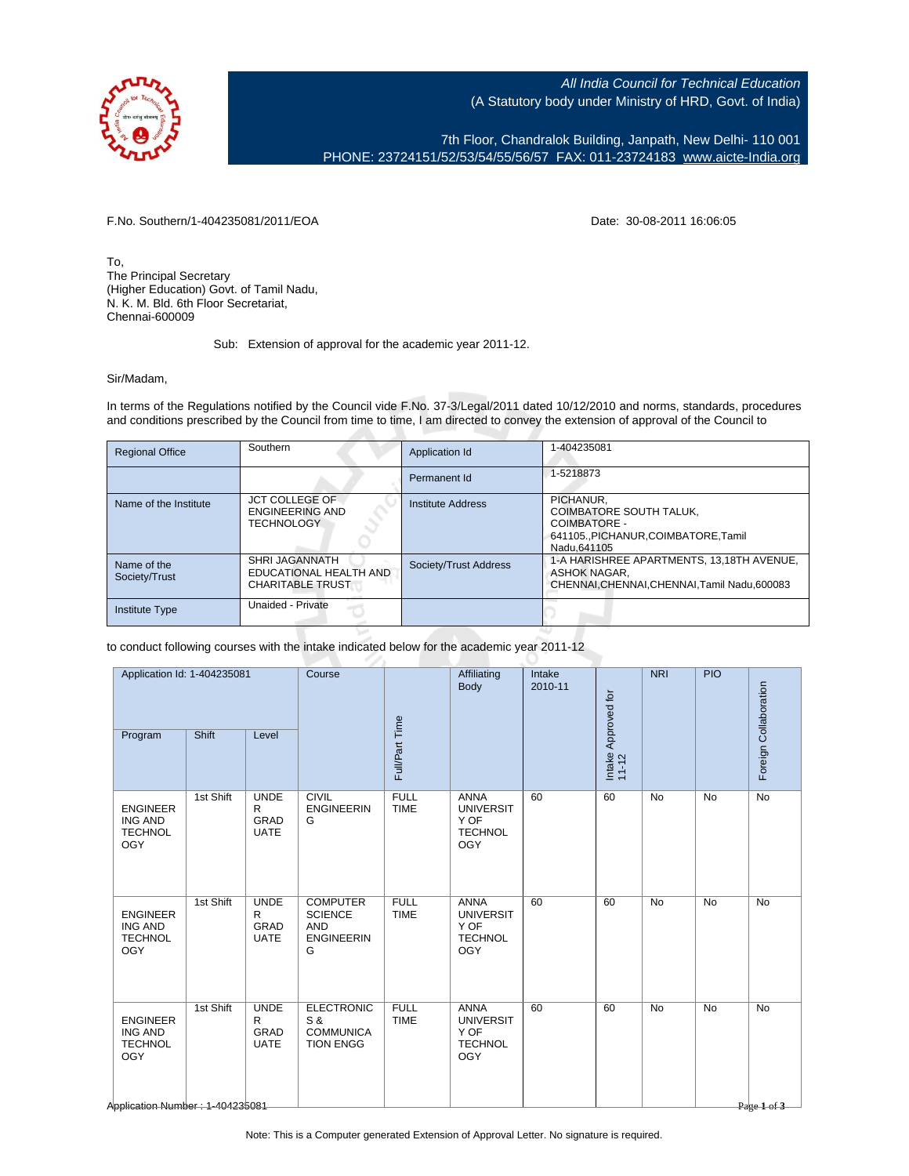

All India Council for Technical Education (A Statutory body under Ministry of HRD, Govt. of India)

7th Floor, Chandralok Building, Janpath, New Delhi- 110 001 PHONE: 23724151/52/53/54/55/56/57 FAX: 011-23724183 [www.aicte-India.org](http://www.aicte-India.org)

F.No. Southern/1-404235081/2011/EOA Date: 30-08-2011 16:06:05

To, The Principal Secretary (Higher Education) Govt. of Tamil Nadu, N. K. M. Bld. 6th Floor Secretariat, Chennai-600009

## Sub: Extension of approval for the academic year 2011-12.

Sir/Madam,

In terms of the Regulations notified by the Council vide F.No. 37-3/Legal/2011 dated 10/12/2010 and norms, standards, procedures and conditions prescribed by the Council from time to time, I am directed to convey the extension of approval of the Council to

| <b>Regional Office</b>       | Southern                                                                   | Application Id        | 1-404235081                                                                                                |
|------------------------------|----------------------------------------------------------------------------|-----------------------|------------------------------------------------------------------------------------------------------------|
|                              |                                                                            | Permanent Id          | 1-5218873                                                                                                  |
| Name of the Institute        | <b>JCT COLLEGE OF</b><br><b>ENGINEERING AND</b><br><b>TECHNOLOGY</b>       | Institute Address     | PICHANUR.<br>COIMBATORE SOUTH TALUK,<br>COIMBATORE -<br>641105PICHANUR.COIMBATORE.Tamil<br>Nadu.641105     |
| Name of the<br>Society/Trust | <b>SHRI JAGANNATH</b><br>EDUCATIONAL HEALTH AND<br><b>CHARITABLE TRUST</b> | Society/Trust Address | 1-A HARISHREE APARTMENTS, 13,18TH AVENUE,<br>ASHOK NAGAR.<br>CHENNAI, CHENNAI, CHENNAI, Tamil Nadu, 600083 |
| <b>Institute Type</b>        | Unaided - Private                                                          |                       |                                                                                                            |

to conduct following courses with the intake indicated below for the academic year 2011-12

| Application Id: 1-404235081                                                                                        |                                                | Course                                                                    |                            | Affiliating<br>Body                                                     | Intake<br>2010-11 |                              | <b>NRI</b> | <b>PIO</b> | Foreign Collaboration                         |
|--------------------------------------------------------------------------------------------------------------------|------------------------------------------------|---------------------------------------------------------------------------|----------------------------|-------------------------------------------------------------------------|-------------------|------------------------------|------------|------------|-----------------------------------------------|
| Shift<br>Program                                                                                                   | Level                                          |                                                                           | Full/Part Time             |                                                                         |                   | Intake Approved for<br>11-12 |            |            |                                               |
| 1st Shift<br><b>ENGINEER</b><br><b>ING AND</b><br><b>TECHNOL</b><br><b>OGY</b>                                     | <b>UNDE</b><br>R<br><b>GRAD</b><br><b>UATE</b> | <b>CIVIL</b><br><b>ENGINEERIN</b><br>G                                    | <b>FULL</b><br><b>TIME</b> | <b>ANNA</b><br><b>UNIVERSIT</b><br>Y OF<br><b>TECHNOL</b><br><b>OGY</b> | 60                | 60                           | <b>No</b>  | <b>No</b>  | <b>No</b>                                     |
| 1st Shift<br><b>ENGINEER</b><br><b>ING AND</b><br><b>TECHNOL</b><br><b>OGY</b>                                     | <b>UNDE</b><br>R<br>GRAD<br><b>UATE</b>        | <b>COMPUTER</b><br><b>SCIENCE</b><br><b>AND</b><br><b>ENGINEERIN</b><br>G | <b>FULL</b><br><b>TIME</b> | <b>ANNA</b><br><b>UNIVERSIT</b><br>Y OF<br><b>TECHNOL</b><br>OGY        | 60                | 60                           | <b>No</b>  | <b>No</b>  | <b>No</b>                                     |
| 1st Shift<br><b>ENGINEER</b><br><b>ING AND</b><br><b>TECHNOL</b><br><b>OGY</b><br>Abplication Number : 1-404235081 | <b>UNDE</b><br>R<br>GRAD<br><b>UATE</b>        | <b>ELECTRONIC</b><br>S &<br><b>COMMUNICA</b><br><b>TION ENGG</b>          | <b>FULL</b><br><b>TIME</b> | <b>ANNA</b><br><b>UNIVERSIT</b><br>Y OF<br><b>TECHNOL</b><br>OGY        | 60                | 60                           | <b>No</b>  | <b>No</b>  | <b>No</b><br>$P_{\text{dee}} 1 \text{ of } 3$ |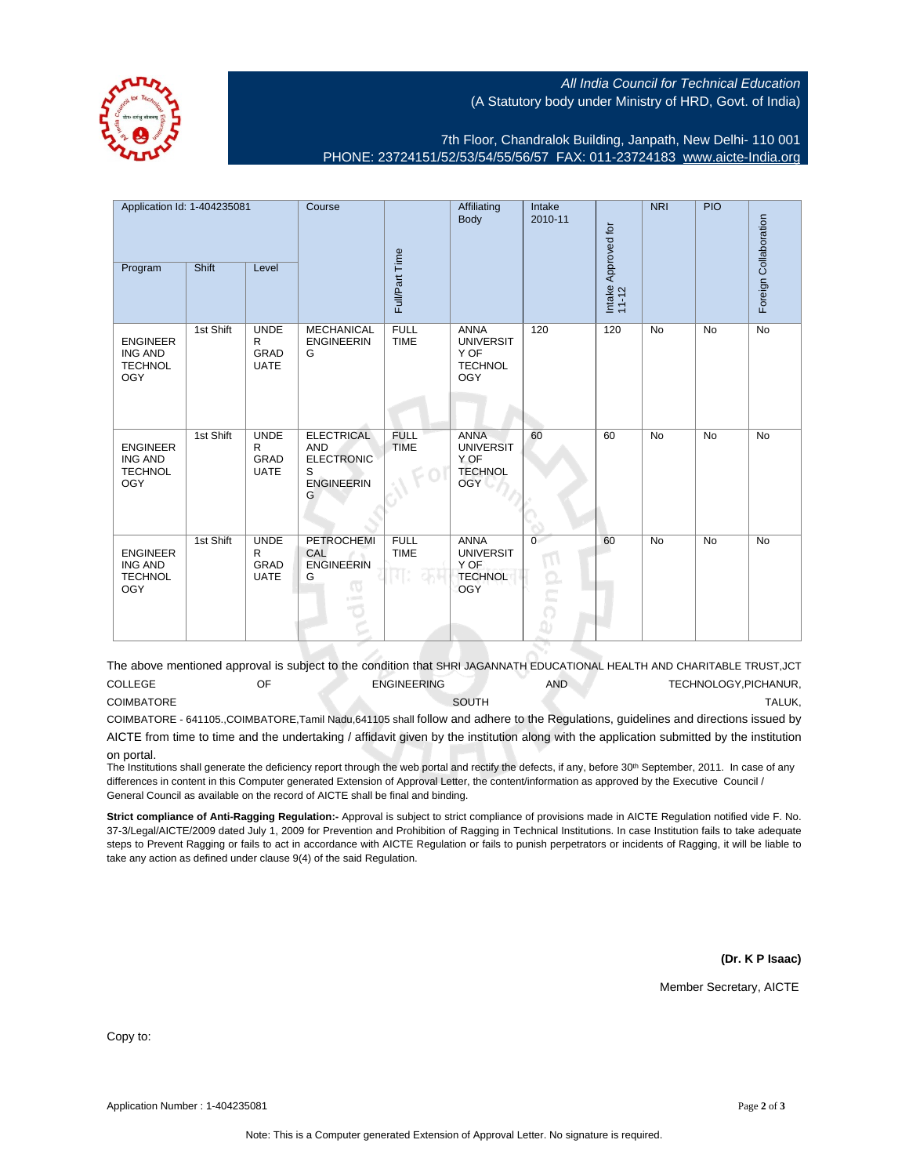All India Council for Technical Education (A Statutory body under Ministry of HRD, Govt. of India)

7th Floor, Chandralok Building, Janpath, New Delhi- 110 001 PHONE: 23724151/52/53/54/55/56/57 FAX: 011-23724183 [www.aicte-India.org](http://www.aicte-India.org)

| Application Id: 1-404235081                                       |           | Course                                         |                                                                              | Affiliating<br>Body        | Intake<br>2010-11                                                       |                                             | <b>NRI</b>                   | PIO       | Foreign Collaboration |           |
|-------------------------------------------------------------------|-----------|------------------------------------------------|------------------------------------------------------------------------------|----------------------------|-------------------------------------------------------------------------|---------------------------------------------|------------------------------|-----------|-----------------------|-----------|
| Program                                                           | Shift     | Level                                          |                                                                              | Full/Part Time             |                                                                         |                                             | Intake Approved for<br>11-12 |           |                       |           |
| <b>ENGINEER</b><br><b>ING AND</b><br><b>TECHNOL</b><br><b>OGY</b> | 1st Shift | <b>UNDE</b><br>R<br>GRAD<br><b>UATE</b>        | <b>MECHANICAL</b><br><b>ENGINEERIN</b><br>G                                  | <b>FULL</b><br><b>TIME</b> | <b>ANNA</b><br><b>UNIVERSIT</b><br>Y OF<br><b>TECHNOL</b><br><b>OGY</b> | 120                                         | 120                          | <b>No</b> | <b>No</b>             | <b>No</b> |
| <b>ENGINEER</b><br><b>ING AND</b><br><b>TECHNOL</b><br><b>OGY</b> | 1st Shift | <b>UNDE</b><br>R<br><b>GRAD</b><br><b>UATE</b> | ELECTRICAL<br><b>AND</b><br><b>ELECTRONIC</b><br>S<br><b>ENGINEERIN</b><br>G | <b>FULL</b><br><b>TIME</b> | <b>ANNA</b><br><b>UNIVERSIT</b><br>Y OF<br><b>TECHNOL</b><br><b>OGY</b> | 60                                          | 60                           | <b>No</b> | <b>No</b>             | <b>No</b> |
| <b>ENGINEER</b><br><b>ING AND</b><br><b>TECHNOL</b><br><b>OGY</b> | 1st Shift | <b>UNDE</b><br>R<br><b>GRAD</b><br><b>UATE</b> | <b>PETROCHEMI</b><br>CAL<br><b>ENGINEERIN</b><br>G<br>$\omega$<br>$-100$     | <b>FULL</b><br><b>TIME</b> | <b>ANNA</b><br><b>UNIVERSIT</b><br>Y OF<br><b>TECHNOL</b><br>OGY        | $\overline{0}$<br>M<br>$\Omega$<br>⊾∸<br>I) | 60                           | <b>No</b> | <b>No</b>             | <b>No</b> |

The above mentioned approval is subject to the condition that SHRI JAGANNATH EDUCATIONAL HEALTH AND CHARITABLE TRUST,JCT COLLEGE OF ENGINEERING AND TECHNOLOGY,PICHANUR, COIMBATORE SOUTH TALUK,

COIMBATORE - 641105.,COIMBATORE,Tamil Nadu,641105 shall follow and adhere to the Regulations, guidelines and directions issued by AICTE from time to time and the undertaking / affidavit given by the institution along with the application submitted by the institution

## on portal.

The Institutions shall generate the deficiency report through the web portal and rectify the defects, if any, before 30<sup>th</sup> September, 2011. In case of any differences in content in this Computer generated Extension of Approval Letter, the content/information as approved by the Executive Council / General Council as available on the record of AICTE shall be final and binding.

**Strict compliance of Anti-Ragging Regulation:-** Approval is subject to strict compliance of provisions made in AICTE Regulation notified vide F. No. 37-3/Legal/AICTE/2009 dated July 1, 2009 for Prevention and Prohibition of Ragging in Technical Institutions. In case Institution fails to take adequate steps to Prevent Ragging or fails to act in accordance with AICTE Regulation or fails to punish perpetrators or incidents of Ragging, it will be liable to take any action as defined under clause 9(4) of the said Regulation.

**(Dr. K P Isaac)**

Member Secretary, AICTE

Copy to: